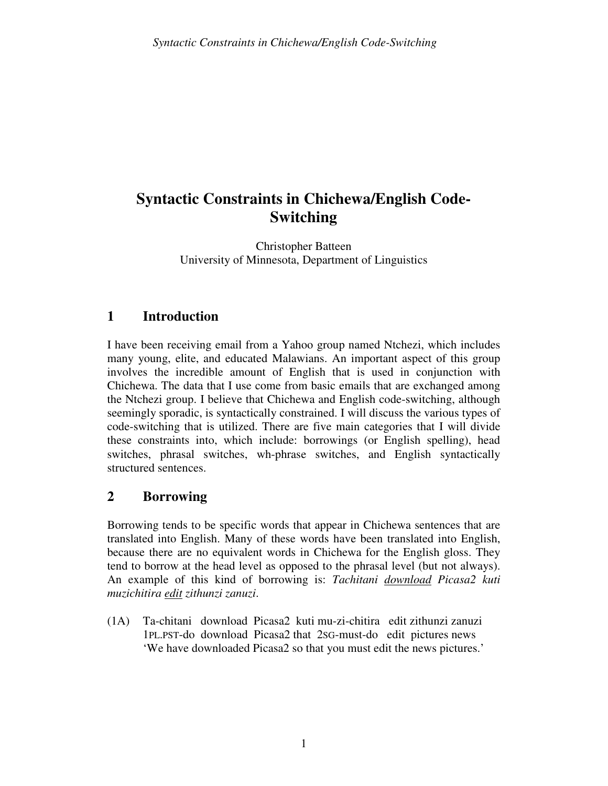# **Syntactic Constraints in Chichewa/English Code-Switching**

Christopher Batteen University of Minnesota, Department of Linguistics

# **1 Introduction**

I have been receiving email from a Yahoo group named Ntchezi, which includes many young, elite, and educated Malawians. An important aspect of this group involves the incredible amount of English that is used in conjunction with Chichewa. The data that I use come from basic emails that are exchanged among the Ntchezi group. I believe that Chichewa and English code-switching, although seemingly sporadic, is syntactically constrained. I will discuss the various types of code-switching that is utilized. There are five main categories that I will divide these constraints into, which include: borrowings (or English spelling), head switches, phrasal switches, wh-phrase switches, and English syntactically structured sentences.

## **2 Borrowing**

Borrowing tends to be specific words that appear in Chichewa sentences that are translated into English. Many of these words have been translated into English, because there are no equivalent words in Chichewa for the English gloss. They tend to borrow at the head level as opposed to the phrasal level (but not always). An example of this kind of borrowing is: *Tachitani download Picasa2 kuti muzichitira edit zithunzi zanuzi*.

(1A) Ta-chitani download Picasa2 kuti mu-zi-chitira edit zithunzi zanuzi 1PL.PST-do download Picasa2 that 2SG-must-do edit pictures news 'We have downloaded Picasa2 so that you must edit the news pictures.'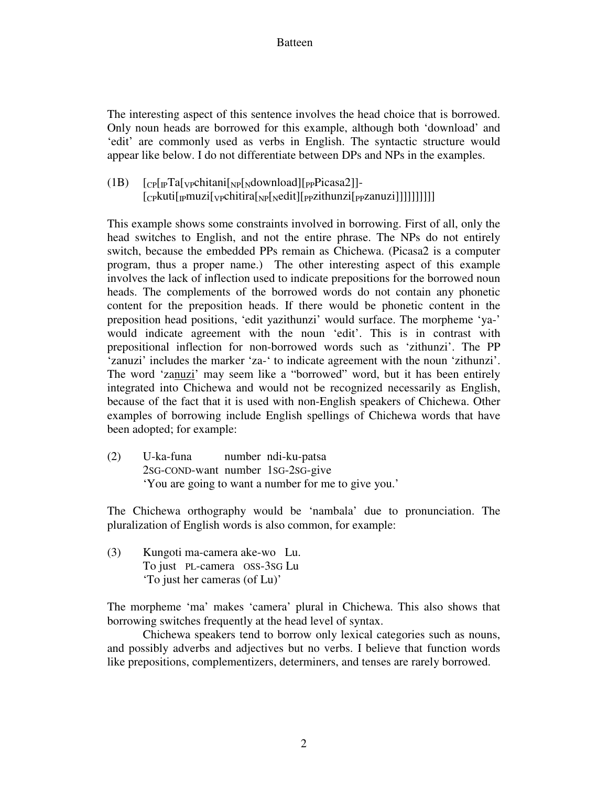#### Batteen

The interesting aspect of this sentence involves the head choice that is borrowed. Only noun heads are borrowed for this example, although both 'download' and 'edit' are commonly used as verbs in English. The syntactic structure would appear like below. I do not differentiate between DPs and NPs in the examples.

 $(1B)$   $[CP[TPTa]Vpchitani[NpNdownload][PPPicasa2]]$ - $[CPkuti[pmuzi[\vee pchitira[\wedge p[\wedge edit][ppzithunzi[ppzanuzi]]]]]]]]]$ 

This example shows some constraints involved in borrowing. First of all, only the head switches to English, and not the entire phrase. The NPs do not entirely switch, because the embedded PPs remain as Chichewa. (Picasa2 is a computer program, thus a proper name.) The other interesting aspect of this example involves the lack of inflection used to indicate prepositions for the borrowed noun heads. The complements of the borrowed words do not contain any phonetic content for the preposition heads. If there would be phonetic content in the preposition head positions, 'edit yazithunzi' would surface. The morpheme 'ya-' would indicate agreement with the noun 'edit'. This is in contrast with prepositional inflection for non-borrowed words such as 'zithunzi'. The PP 'zanuzi' includes the marker 'za-' to indicate agreement with the noun 'zithunzi'. The word 'zanuzi' may seem like a "borrowed" word, but it has been entirely integrated into Chichewa and would not be recognized necessarily as English, because of the fact that it is used with non-English speakers of Chichewa. Other examples of borrowing include English spellings of Chichewa words that have been adopted; for example:

(2) U-ka-funa number ndi-ku-patsa 2SG-COND-want number 1SG-2SG-give 'You are going to want a number for me to give you.'

The Chichewa orthography would be 'nambala' due to pronunciation. The pluralization of English words is also common, for example:

(3) Kungoti ma-camera ake-wo Lu. To just PL-camera OSS-3SG Lu 'To just her cameras (of Lu)'

The morpheme 'ma' makes 'camera' plural in Chichewa. This also shows that borrowing switches frequently at the head level of syntax.

 Chichewa speakers tend to borrow only lexical categories such as nouns, and possibly adverbs and adjectives but no verbs. I believe that function words like prepositions, complementizers, determiners, and tenses are rarely borrowed.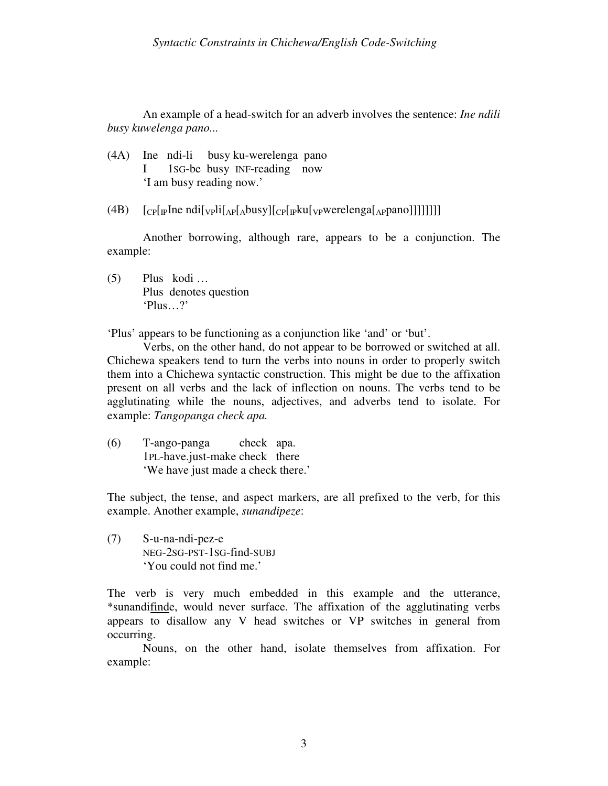An example of a head-switch for an adverb involves the sentence: *Ine ndili busy kuwelenga pano...*

- (4A) Ine ndi-li busy ku-werelenga pano I 1SG-be busy INF-reading now 'I am busy reading now.'
- (4B) [CP[IPIne ndi[VPli[AP[Abusy][CP[IPku[VPwerelenga[APpano]]]]]]]]

 Another borrowing, although rare, appears to be a conjunction. The example:

(5) Plus kodi … Plus denotes question 'Plus…?'

'Plus' appears to be functioning as a conjunction like 'and' or 'but'.

 Verbs, on the other hand, do not appear to be borrowed or switched at all. Chichewa speakers tend to turn the verbs into nouns in order to properly switch them into a Chichewa syntactic construction. This might be due to the affixation present on all verbs and the lack of inflection on nouns. The verbs tend to be agglutinating while the nouns, adjectives, and adverbs tend to isolate. For example: *Tangopanga check apa.* 

(6) T-ango-panga check apa. 1PL-have.just-make check there 'We have just made a check there.'

The subject, the tense, and aspect markers, are all prefixed to the verb, for this example. Another example, *sunandipeze*:

(7) S-u-na-ndi-pez-e NEG-2SG-PST-1SG-find-SUBJ 'You could not find me.'

The verb is very much embedded in this example and the utterance, \*sunandifinde, would never surface. The affixation of the agglutinating verbs appears to disallow any V head switches or VP switches in general from occurring.

Nouns, on the other hand, isolate themselves from affixation. For example: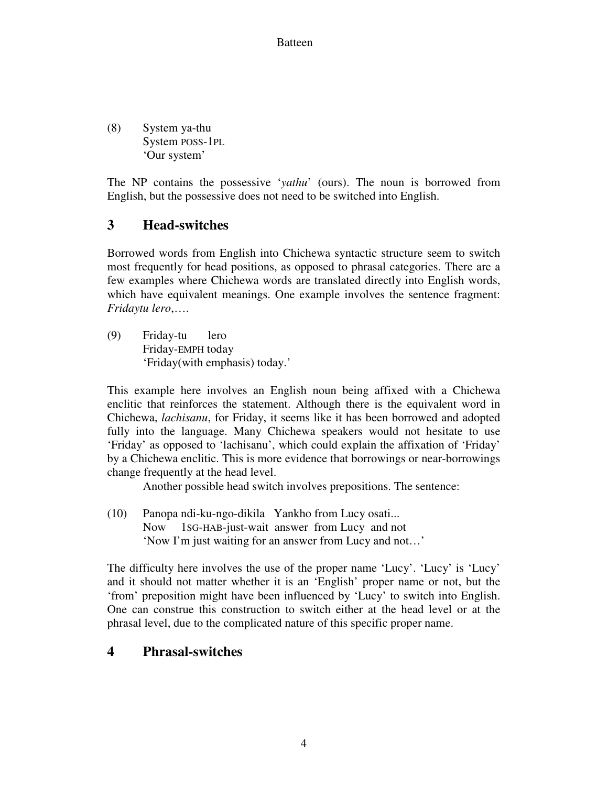#### Batteen

(8) System ya-thu System POSS-1PL 'Our system'

The NP contains the possessive '*yathu*' (ours). The noun is borrowed from English, but the possessive does not need to be switched into English.

# **3 Head-switches**

Borrowed words from English into Chichewa syntactic structure seem to switch most frequently for head positions, as opposed to phrasal categories. There are a few examples where Chichewa words are translated directly into English words, which have equivalent meanings. One example involves the sentence fragment: *Fridaytu lero*,….

(9) Friday-tu lero Friday-EMPH today 'Friday(with emphasis) today.'

This example here involves an English noun being affixed with a Chichewa enclitic that reinforces the statement. Although there is the equivalent word in Chichewa, *lachisanu*, for Friday, it seems like it has been borrowed and adopted fully into the language. Many Chichewa speakers would not hesitate to use 'Friday' as opposed to 'lachisanu', which could explain the affixation of 'Friday' by a Chichewa enclitic. This is more evidence that borrowings or near-borrowings change frequently at the head level.

Another possible head switch involves prepositions. The sentence:

(10) Panopa ndi-ku-ngo-dikila Yankho from Lucy osati... Now 1SG-HAB-just-wait answer from Lucy and not 'Now I'm just waiting for an answer from Lucy and not…'

The difficulty here involves the use of the proper name 'Lucy'. 'Lucy' is 'Lucy' and it should not matter whether it is an 'English' proper name or not, but the 'from' preposition might have been influenced by 'Lucy' to switch into English. One can construe this construction to switch either at the head level or at the phrasal level, due to the complicated nature of this specific proper name.

## **4 Phrasal-switches**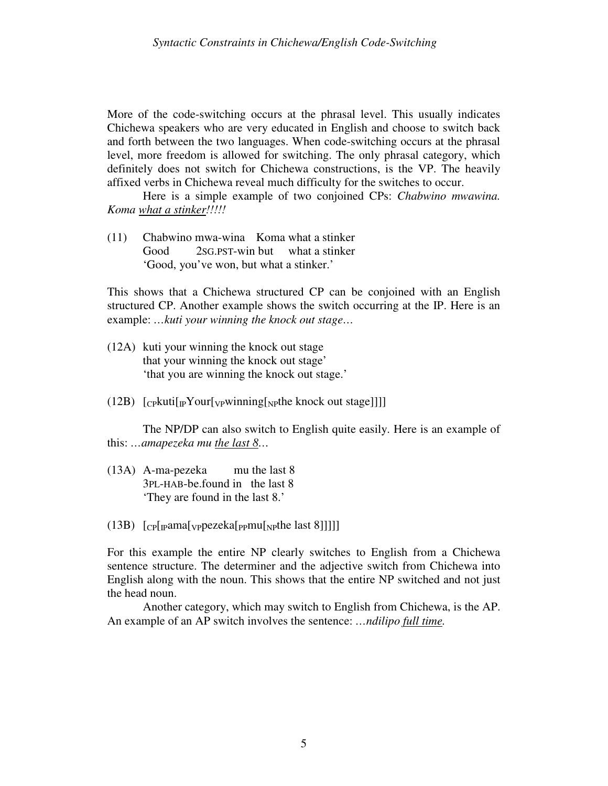More of the code-switching occurs at the phrasal level. This usually indicates Chichewa speakers who are very educated in English and choose to switch back and forth between the two languages. When code-switching occurs at the phrasal level, more freedom is allowed for switching. The only phrasal category, which definitely does not switch for Chichewa constructions, is the VP. The heavily affixed verbs in Chichewa reveal much difficulty for the switches to occur.

Here is a simple example of two conjoined CPs: *Chabwino mwawina. Koma what a stinker!!!!!*

(11) Chabwino mwa-wina Koma what a stinker Good 2SG.PST-win but what a stinker 'Good, you've won, but what a stinker.'

This shows that a Chichewa structured CP can be conjoined with an English structured CP. Another example shows the switch occurring at the IP. Here is an example: *…kuti your winning the knock out stage…* 

- (12A) kuti your winning the knock out stage that your winning the knock out stage' 'that you are winning the knock out stage.'
- (12B)  $[\text{Cpkuti}[\text{pYour}[\text{vpwinning}[\text{ppthe knock out stage}]]]]$

The NP/DP can also switch to English quite easily. Here is an example of this: *…amapezeka mu the last 8…*

- (13A) A-ma-pezeka mu the last 8 3PL-HAB-be.found in the last 8 'They are found in the last 8.'
- $(13B)$   $[CP[$ <sub>rp</sub>ama[<sub>VP</sub>pezeka[<sub>PP</sub>mu[<sub>NP</sub>the last 8]]]]]

For this example the entire NP clearly switches to English from a Chichewa sentence structure. The determiner and the adjective switch from Chichewa into English along with the noun. This shows that the entire NP switched and not just the head noun.

 Another category, which may switch to English from Chichewa, is the AP. An example of an AP switch involves the sentence: *…ndilipo full time.*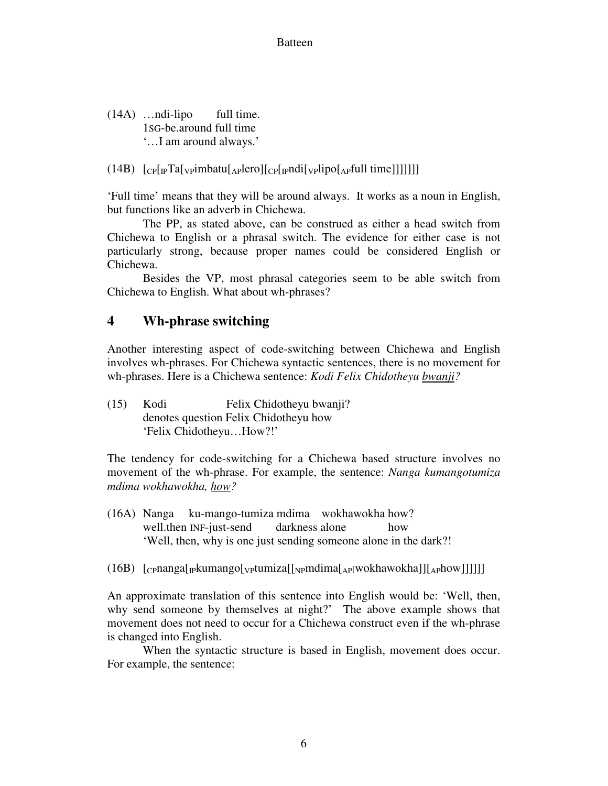(14A) …ndi-lipo full time. 1SG-be.around full time '…I am around always.'

 $(14B)$   $[Cp[<sub>IP</sub>Ta[<sub>V</sub>pimbatu[<sub>AP</sub>]ero][<sub>CP</sub>[<sub>IP</sub>ndi[<sub>V</sub>qino[<sub>AP</sub>full time]]]]]]]$ 

'Full time' means that they will be around always. It works as a noun in English, but functions like an adverb in Chichewa.

 The PP, as stated above, can be construed as either a head switch from Chichewa to English or a phrasal switch. The evidence for either case is not particularly strong, because proper names could be considered English or Chichewa.

 Besides the VP, most phrasal categories seem to be able switch from Chichewa to English. What about wh-phrases?

### **4 Wh-phrase switching**

Another interesting aspect of code-switching between Chichewa and English involves wh-phrases. For Chichewa syntactic sentences, there is no movement for wh-phrases. Here is a Chichewa sentence: *Kodi Felix Chidotheyu bwanji?*

(15) Kodi Felix Chidotheyu bwanji? denotes question Felix Chidotheyu how 'Felix Chidotheyu…How?!'

The tendency for code-switching for a Chichewa based structure involves no movement of the wh-phrase. For example, the sentence: *Nanga kumangotumiza mdima wokhawokha, how?*

- (16A) Nanga ku-mango-tumiza mdima wokhawokha how? well.then INF-just-send darkness alone how 'Well, then, why is one just sending someone alone in the dark?!
- (16B)  $[CPnanga[<sub>p</sub>kumango[<sub>VP</sub>tumiza[<sub>NP</sub>mdima[<sub>AP</sub>[wokhawokha]][<sub>AP</sub>how]]]]]$ ]

An approximate translation of this sentence into English would be: 'Well, then, why send someone by themselves at night?' The above example shows that movement does not need to occur for a Chichewa construct even if the wh-phrase is changed into English.

 When the syntactic structure is based in English, movement does occur. For example, the sentence: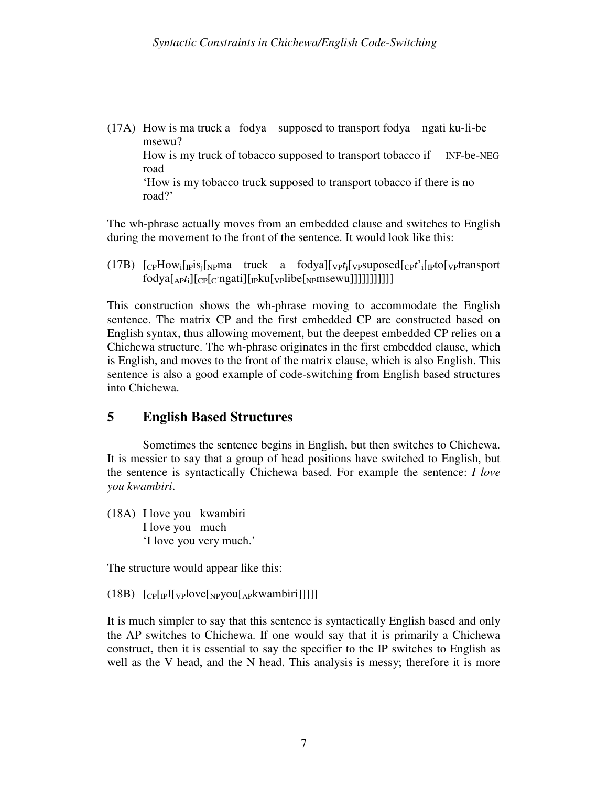(17A) How is ma truck a fodya supposed to transport fodya ngati ku-li-be msewu? How is my truck of tobacco supposed to transport tobacco if INF-be-NEG road 'How is my tobacco truck supposed to transport tobacco if there is no road?'

The wh-phrase actually moves from an embedded clause and switches to English during the movement to the front of the sentence. It would look like this:

 $(17B)$   $[CPHow$ <sup>[</sup> $p$ Eq<sup>rid</sup>]<sup> $N$ </sup> Findow<sub>i</sub><sup>[</sup> $N$ <sup>2</sup>]<sup> $N$ </sup> [ $C$ <sub>*PMa*</sub><sup> $N$ </sup>]<sup> $N$ </sup> [ $C$ <sup>*t*</sup></sup>]<sup> $N$ </sup><sub>2</sub>*Findowii*<sup>[</sup> $N$ <sup>2</sup>]<sup> $N$ </sup><sup> $N$ </sup><sup> $N$ </sup><sup> $N$ </sup><sup> $N$ </sup><sup> $N$ </sup> $N$ <sup> $N$ </sup> $N$ <sup> $N$ </sup> $N$ <sup> $N$ </sup> $N$ <sup> $N$ </sup> $N$ <sup> $N$ </sup> $N$  $N$  $N$  $N$  $N$  $N$  $N$  $N$  $N$  $N$  $fodya[_{\text{AP}}t_i][_{\text{CP}}[c'ngati][_{\text{IP}}ku[\text{vplibe}[\text{NPMSE}]}]]]]]]]]$ 

This construction shows the wh-phrase moving to accommodate the English sentence. The matrix CP and the first embedded CP are constructed based on English syntax, thus allowing movement, but the deepest embedded CP relies on a Chichewa structure. The wh-phrase originates in the first embedded clause, which is English, and moves to the front of the matrix clause, which is also English. This sentence is also a good example of code-switching from English based structures into Chichewa.

## **5 English Based Structures**

Sometimes the sentence begins in English, but then switches to Chichewa. It is messier to say that a group of head positions have switched to English, but the sentence is syntactically Chichewa based. For example the sentence: *I love you kwambiri*.

(18A) I love you kwambiri I love you much 'I love you very much.'

The structure would appear like this:

 $(18B)$   $[CP[F][VP]ove[NPyou[APkwan birj]]]$ 

It is much simpler to say that this sentence is syntactically English based and only the AP switches to Chichewa. If one would say that it is primarily a Chichewa construct, then it is essential to say the specifier to the IP switches to English as well as the V head, and the N head. This analysis is messy; therefore it is more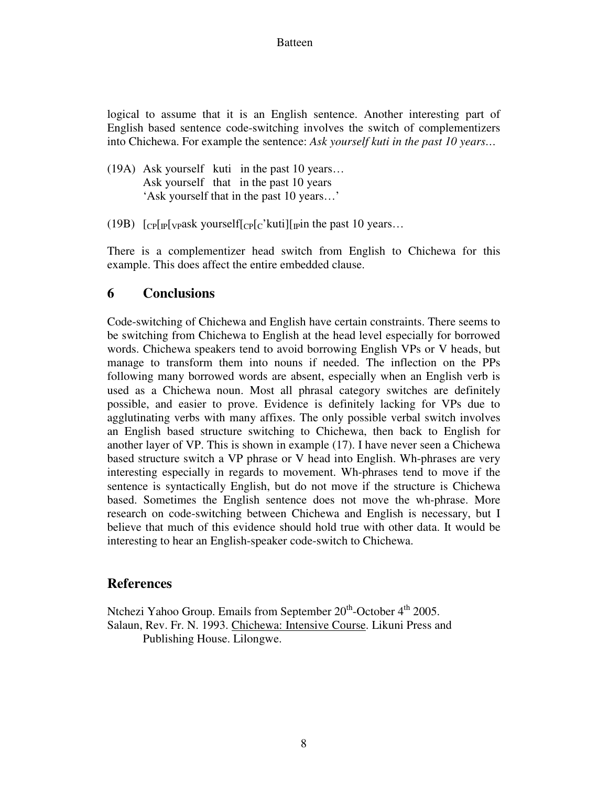#### Batteen

logical to assume that it is an English sentence. Another interesting part of English based sentence code-switching involves the switch of complementizers into Chichewa. For example the sentence: *Ask yourself kuti in the past 10 years…*

- (19A) Ask yourself kuti in the past 10 years… Ask yourself that in the past 10 years 'Ask yourself that in the past 10 years…'
- (19B)  $\lceil c \cdot \frac{p}{p} \rceil$  [cp [vpask yourself $\lceil c \cdot \frac{p}{c} \rceil$  [cp [c] kuti] [pin the past 10 years...

There is a complementizer head switch from English to Chichewa for this example. This does affect the entire embedded clause.

#### **6 Conclusions**

Code-switching of Chichewa and English have certain constraints. There seems to be switching from Chichewa to English at the head level especially for borrowed words. Chichewa speakers tend to avoid borrowing English VPs or V heads, but manage to transform them into nouns if needed. The inflection on the PPs following many borrowed words are absent, especially when an English verb is used as a Chichewa noun. Most all phrasal category switches are definitely possible, and easier to prove. Evidence is definitely lacking for VPs due to agglutinating verbs with many affixes. The only possible verbal switch involves an English based structure switching to Chichewa, then back to English for another layer of VP. This is shown in example (17). I have never seen a Chichewa based structure switch a VP phrase or V head into English. Wh-phrases are very interesting especially in regards to movement. Wh-phrases tend to move if the sentence is syntactically English, but do not move if the structure is Chichewa based. Sometimes the English sentence does not move the wh-phrase. More research on code-switching between Chichewa and English is necessary, but I believe that much of this evidence should hold true with other data. It would be interesting to hear an English-speaker code-switch to Chichewa.

#### **References**

Ntchezi Yahoo Group. Emails from September  $20<sup>th</sup>$ -October  $4<sup>th</sup>$  2005. Salaun, Rev. Fr. N. 1993. Chichewa: Intensive Course. Likuni Press and Publishing House. Lilongwe.